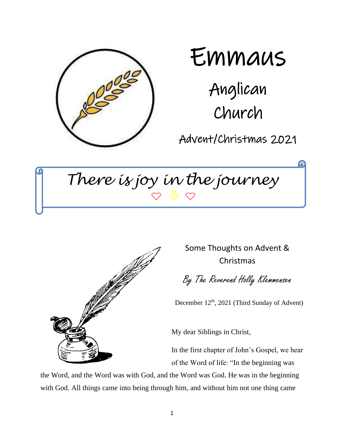

 $\overline{\phantom{0}}$ 

# Emmaus

Anglican Church

Advent/Christmas 2021

*There is joy in the journey*



Some Thoughts on Advent & Christmas

By The Reverend Holly Klemmensen

December 12<sup>th</sup>, 2021 (Third Sunday of Advent)

My dear Siblings in Christ,

In the first chapter of John's Gospel, we hear of the Word of life: "In the beginning was

the Word, and the Word was with God, and the Word was God. He was in the beginning with God. All things came into being through him, and without him not one thing came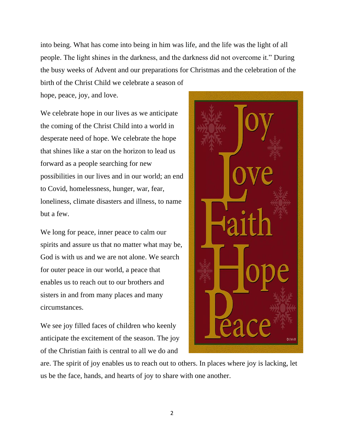into being. What has come into being in him was life, and the life was the light of all people. The light shines in the darkness, and the darkness did not overcome it." During the busy weeks of Advent and our preparations for Christmas and the celebration of the birth of the Christ Child we celebrate a season of

hope, peace, joy, and love.

We celebrate hope in our lives as we anticipate the coming of the Christ Child into a world in desperate need of hope. We celebrate the hope that shines like a star on the horizon to lead us forward as a people searching for new possibilities in our lives and in our world; an end to Covid, homelessness, hunger, war, fear, loneliness, climate disasters and illness, to name but a few.

We long for peace, inner peace to calm our spirits and assure us that no matter what may be, God is with us and we are not alone. We search for outer peace in our world, a peace that enables us to reach out to our brothers and sisters in and from many places and many circumstances.

We see joy filled faces of children who keenly anticipate the excitement of the season. The joy of the Christian faith is central to all we do and



are. The spirit of joy enables us to reach out to others. In places where joy is lacking, let us be the face, hands, and hearts of joy to share with one another.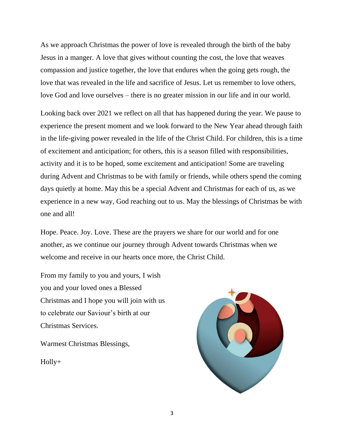As we approach Christmas the power of love is revealed through the birth of the baby Jesus in a manger. A love that gives without counting the cost, the love that weaves compassion and justice together, the love that endures when the going gets rough, the love that was revealed in the life and sacrifice of Jesus. Let us remember to love others, love God and love ourselves – there is no greater mission in our life and in our world.

Looking back over 2021 we reflect on all that has happened during the year. We pause to experience the present moment and we look forward to the New Year ahead through faith in the life-giving power revealed in the life of the Christ Child. For children, this is a time of excitement and anticipation; for others, this is a season filled with responsibilities, activity and it is to be hoped, some excitement and anticipation! Some are traveling during Advent and Christmas to be with family or friends, while others spend the coming days quietly at home. May this be a special Advent and Christmas for each of us, as we experience in a new way, God reaching out to us. May the blessings of Christmas be with one and all!

Hope. Peace. Joy. Love. These are the prayers we share for our world and for one another, as we continue our journey through Advent towards Christmas when we welcome and receive in our hearts once more, the Christ Child.

From my family to you and yours, I wish you and your loved ones a Blessed Christmas and I hope you will join with us to celebrate our Saviour's birth at our Christmas Services.

Warmest Christmas Blessings,

Holly+

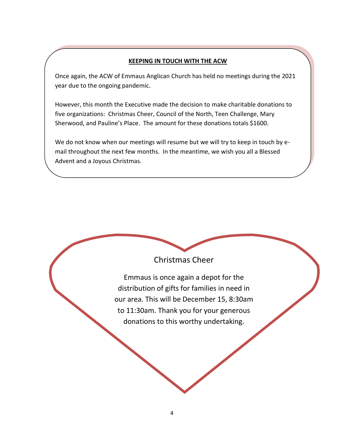#### **KEEPING IN TOUCH WITH THE ACW**

Once again, the ACW of Emmaus Anglican Church has held no meetings during the 2021 year due to the ongoing pandemic.

However, this month the Executive made the decision to make charitable donations to five organizations: Christmas Cheer, Council of the North, Teen Challenge, Mary Sherwood, and Pauline's Place. The amount for these donations totals \$1600.

We do not know when our meetings will resume but we will try to keep in touch by email throughout the next few months. In the meantime, we wish you all a Blessed Advent and a Joyous Christmas.



Emmaus is once again a depot for the distribution of gifts for families in need in our area. This will be December 15, 8:30am to 11:30am. Thank you for your generous donations to this worthy undertaking.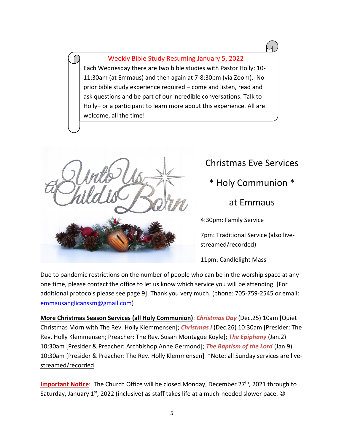Weekly Bible Study Resuming January 5, 2022 Each Wednesday there are two bible studies with Pastor Holly: 10- 11:30am (at Emmaus) and then again at 7-8:30pm (via Zoom). No prior bible study experience required – come and listen, read and ask questions and be part of our incredible conversations. Talk to Holly+ or a participant to learn more about this experience. All are welcome, all the time!



# Christmas Eve Services

## \* Holy Communion \*

### at Emmaus

4:30pm: Family Service

7pm: Traditional Service (also livestreamed/recorded)

11pm: Candlelight Mass

Due to pandemic restrictions on the number of people who can be in the worship space at any one time, please contact the office to let us know which service you will be attending. [For additional protocols please see page 9]. Thank you very much. (phone: 705-759-2545 or email: [emmausanglicanssm@gmail.com\)](mailto:emmausanglicanssm@gmail.com)

**More Christmas Season Services (all Holy Communion)**: *Christmas Day* (Dec.25) 10am [Quiet Christmas Morn with The Rev. Holly Klemmensen]; *Christmas I* (Dec.26) 10:30am [Presider: The Rev. Holly Klemmensen; Preacher: The Rev. Susan Montague Koyle]; *The Epiphany* (Jan.2) 10:30am [Presider & Preacher: Archbishop Anne Germond]; *The Baptism of the Lord* (Jan.9) 10:30am [Presider & Preacher: The Rev. Holly Klemmensen] \*Note: all Sunday services are livestreamed/recorded

**Important Notice**: The Church Office will be closed Monday, December 27<sup>th</sup>, 2021 through to Saturday, January 1<sup>st</sup>, 2022 (inclusive) as staff takes life at a much-needed slower pace.  $\odot$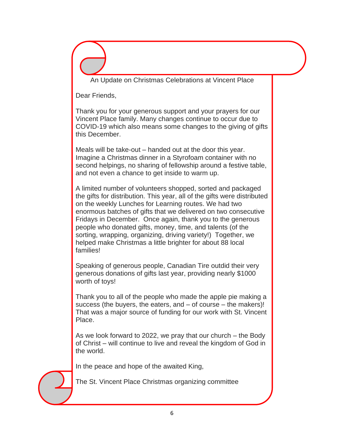An Update on Christmas Celebrations at Vincent Place

Dear Friends,

Thank you for your generous support and your prayers for our Vincent Place family. Many changes continue to occur due to COVID-19 which also means some changes to the giving of gifts this December.

Meals will be take-out – handed out at the door this year. Imagine a Christmas dinner in a Styrofoam container with no second helpings, no sharing of fellowship around a festive table, and not even a chance to get inside to warm up.

A limited number of volunteers shopped, sorted and packaged the gifts for distribution. This year, all of the gifts were distributed on the weekly Lunches for Learning routes. We had two enormous batches of gifts that we delivered on two consecutive Fridays in December. Once again, thank you to the generous people who donated gifts, money, time, and talents (of the sorting, wrapping, organizing, driving variety!) Together, we helped make Christmas a little brighter for about 88 local families!

Speaking of generous people, Canadian Tire outdid their very generous donations of gifts last year, providing nearly \$1000 worth of toys!

Thank you to all of the people who made the apple pie making a success (the buyers, the eaters, and  $-$  of course  $-$  the makers)! That was a major source of funding for our work with St. Vincent Place.

As we look forward to 2022, we pray that our church – the Body of Christ – will continue to live and reveal the kingdom of God in the world.

In the peace and hope of the awaited King,

The St. Vincent Place Christmas organizing committee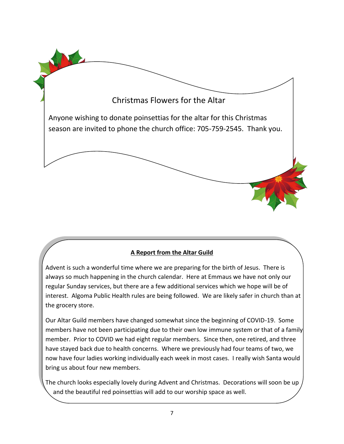

#### **A Report from the Altar Guild**

Advent is such a wonderful time where we are preparing for the birth of Jesus. There is always so much happening in the church calendar. Here at Emmaus we have not only our regular Sunday services, but there are a few additional services which we hope will be of interest. Algoma Public Health rules are being followed. We are likely safer in church than at the grocery store.

Our Altar Guild members have changed somewhat since the beginning of COVID-19. Some members have not been participating due to their own low immune system or that of a family member. Prior to COVID we had eight regular members. Since then, one retired, and three have stayed back due to health concerns. Where we previously had four teams of two, we now have four ladies working individually each week in most cases. I really wish Santa would bring us about four new members.

The church looks especially lovely during Advent and Christmas. Decorations will soon be up and the beautiful red poinsettias will add to our worship space as well.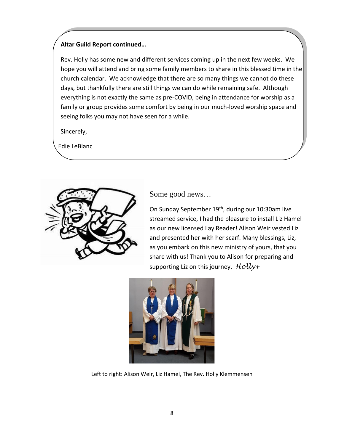#### **Altar Guild Report continued…**

Rev. Holly has some new and different services coming up in the next few weeks. We hope you will attend and bring some family members to share in this blessed time in the church calendar. We acknowledge that there are so many things we cannot do these days, but thankfully there are still things we can do while remaining safe. Although everything is not exactly the same as pre-COVID, being in attendance for worship as a family or group provides some comfort by being in our much-loved worship space and seeing folks you may not have seen for a while.

Sincerely,

Edie LeBlanc



Some good news…

On Sunday September 19<sup>th</sup>, during our 10:30am live streamed service, I had the pleasure to install Liz Hamel as our new licensed Lay Reader! Alison Weir vested Liz and presented her with her scarf. Many blessings, Liz, as you embark on this new ministry of yours, that you share with us! Thank you to Alison for preparing and supporting Liz on this journey. *Holly+*



Left to right: Alison Weir, Liz Hamel, The Rev. Holly Klemmensen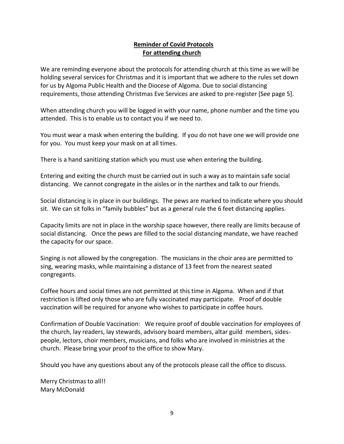#### **Reminder of Covid Protocols For attending church**

We are reminding everyone about the protocols for attending church at this time as we will be holding several services for Christmas and it is important that we adhere to the rules set down for us by Algoma Public Health and the Diocese of Algoma. Due to social distancing requirements, those attending Christmas Eve Services are asked to pre-register [See page 5].

When attending church you will be logged in with your name, phone number and the time you attended. This is to enable us to contact you if we need to.

You must wear a mask when entering the building. If you do not have one we will provide one for you. You must keep your mask on at all times.

There is a hand sanitizing station which you must use when entering the building.

Entering and exiting the church must be carried out in such a way as to maintain safe social distancing. We cannot congregate in the aisles or in the narthex and talk to our friends.

Social distancing is in place in our buildings. The pews are marked to indicate where you should sit. We can sit folks in "family bubbles" but as a general rule the 6 feet distancing applies.

Capacity limits are not in place in the worship space however, there really are limits because of social distancing. Once the pews are filled to the social distancing mandate, we have reached the capacity for our space.

Singing is not allowed by the congregation. The musicians in the choir area are permitted to sing, wearing masks, while maintaining a distance of 13 feet from the nearest seated congregants.

Coffee hours and social times are not permitted at this time in Algoma. When and if that restriction is lifted only those who are fully vaccinated may participate. Proof of double vaccination will be required for anyone who wishes to participate in coffee hours.

Confirmation of Double Vaccination: We require proof of double vaccination for employees of the church, lay readers, lay stewards, advisory board members, altar guild members, sidespeople, lectors, choir members, musicians, and folks who are involved in ministries at the church. Please bring your proof to the office to show Mary.

Should you have any questions about any of the protocols please call the office to discuss.

Merry Christmas to all!! Mary McDonald